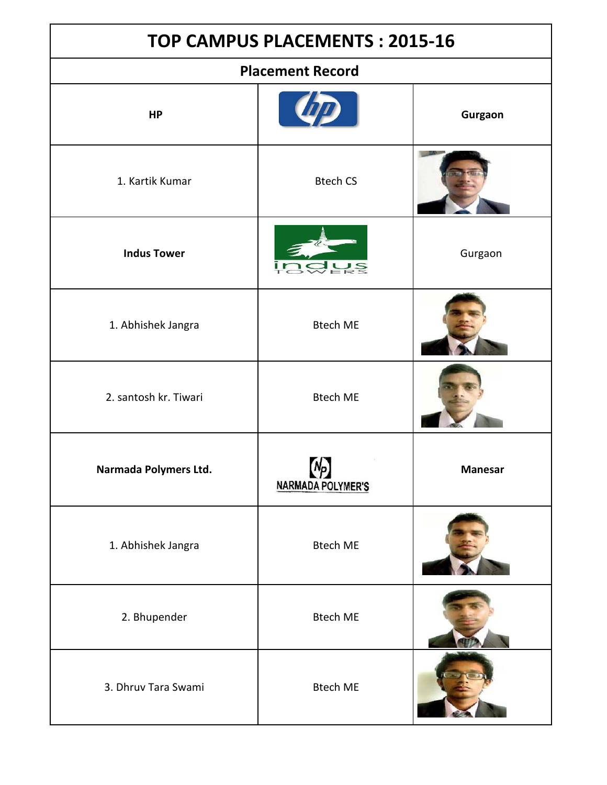| <b>TOP CAMPUS PLACEMENTS: 2015-16</b> |                                |         |
|---------------------------------------|--------------------------------|---------|
|                                       | <b>Placement Record</b>        |         |
| <b>HP</b>                             |                                | Gurgaon |
| 1. Kartik Kumar                       | <b>Btech CS</b>                |         |
| <b>Indus Tower</b>                    |                                | Gurgaon |
| 1. Abhishek Jangra                    | <b>Btech ME</b>                |         |
| 2. santosh kr. Tiwari                 | <b>Btech ME</b>                |         |
| Narmada Polymers Ltd.                 | M.<br><b>NARMADA POLYMER'S</b> | Manesar |
| 1. Abhishek Jangra                    | <b>Btech ME</b>                |         |
| 2. Bhupender                          | <b>Btech ME</b>                |         |
| 3. Dhruv Tara Swami                   | <b>Btech ME</b>                |         |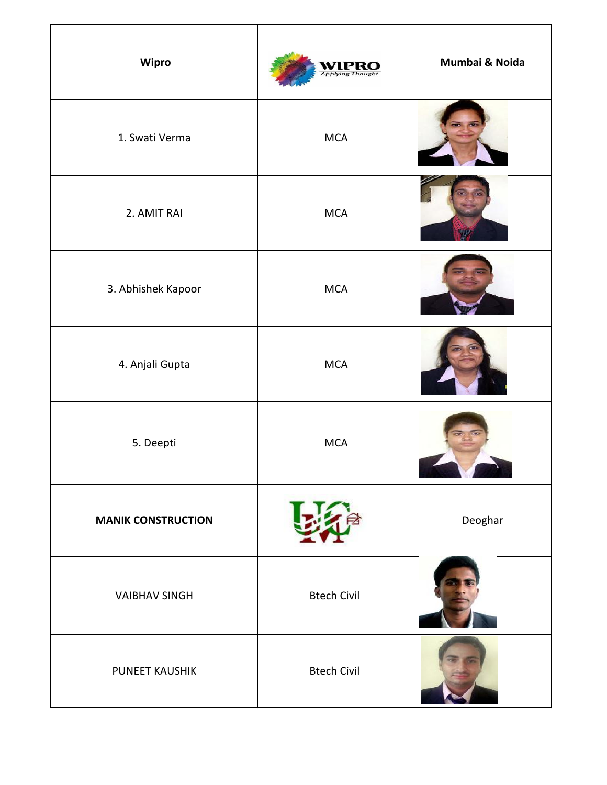| Wipro                     | <b>Applying Thought</b> | Mumbai & Noida |
|---------------------------|-------------------------|----------------|
| 1. Swati Verma            | MCA                     |                |
| 2. AMIT RAI               | <b>MCA</b>              |                |
| 3. Abhishek Kapoor        | MCA                     |                |
| 4. Anjali Gupta           | MCA                     |                |
| 5. Deepti                 | <b>MCA</b>              |                |
| <b>MANIK CONSTRUCTION</b> |                         | Deoghar        |
| <b>VAIBHAV SINGH</b>      | <b>Btech Civil</b>      |                |
| PUNEET KAUSHIK            | <b>Btech Civil</b>      |                |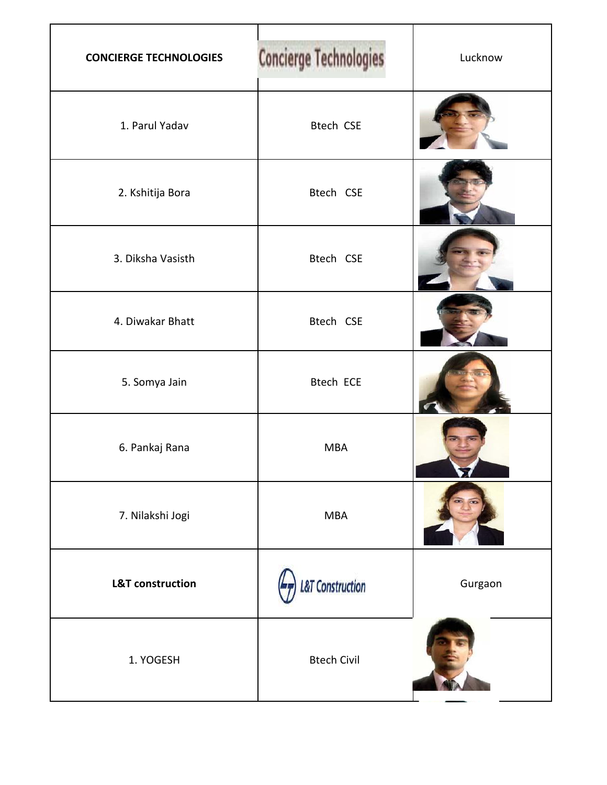| <b>CONCIERGE TECHNOLOGIES</b> | <b>Concierge Technologies</b> | Lucknow |
|-------------------------------|-------------------------------|---------|
| 1. Parul Yadav                | <b>Btech CSE</b>              |         |
| 2. Kshitija Bora              | Btech CSE                     |         |
| 3. Diksha Vasisth             | Btech CSE                     |         |
| 4. Diwakar Bhatt              | Btech CSE                     |         |
| 5. Somya Jain                 | <b>Btech ECE</b>              |         |
| 6. Pankaj Rana                | <b>MBA</b>                    |         |
| 7. Nilakshi Jogi              | <b>MBA</b>                    |         |
| <b>L&amp;T</b> construction   | &T Construction               | Gurgaon |
| 1. YOGESH                     | <b>Btech Civil</b>            |         |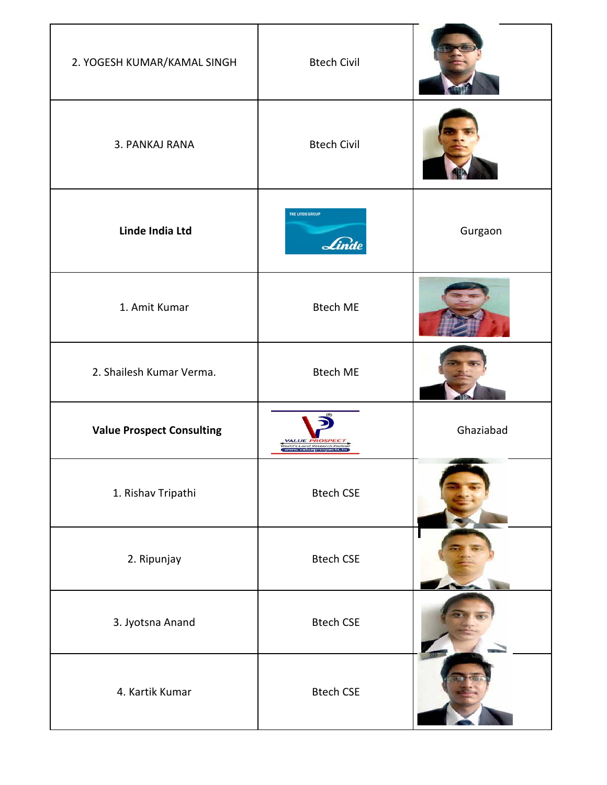| 2. YOGESH KUMAR/KAMAL SINGH      | <b>Btech Civil</b>                                                                   |           |
|----------------------------------|--------------------------------------------------------------------------------------|-----------|
| 3. PANKAJ RANA                   | <b>Btech Civil</b>                                                                   |           |
| Linde India Ltd                  | THE LINDE GROUP<br>Linde                                                             | Gurgaon   |
| 1. Amit Kumar                    | <b>Btech ME</b>                                                                      |           |
| 2. Shailesh Kumar Verma.         | <b>Btech ME</b>                                                                      |           |
| <b>Value Prospect Consulting</b> | <b>VALUE PROS.</b><br>,<br>Vorld's Local Research Partner<br>  www.valueprospects.in | Ghaziabad |
| 1. Rishav Tripathi               | <b>Btech CSE</b>                                                                     |           |
| 2. Ripunjay                      | <b>Btech CSE</b>                                                                     |           |
| 3. Jyotsna Anand                 | <b>Btech CSE</b>                                                                     |           |
| 4. Kartik Kumar                  | <b>Btech CSE</b>                                                                     |           |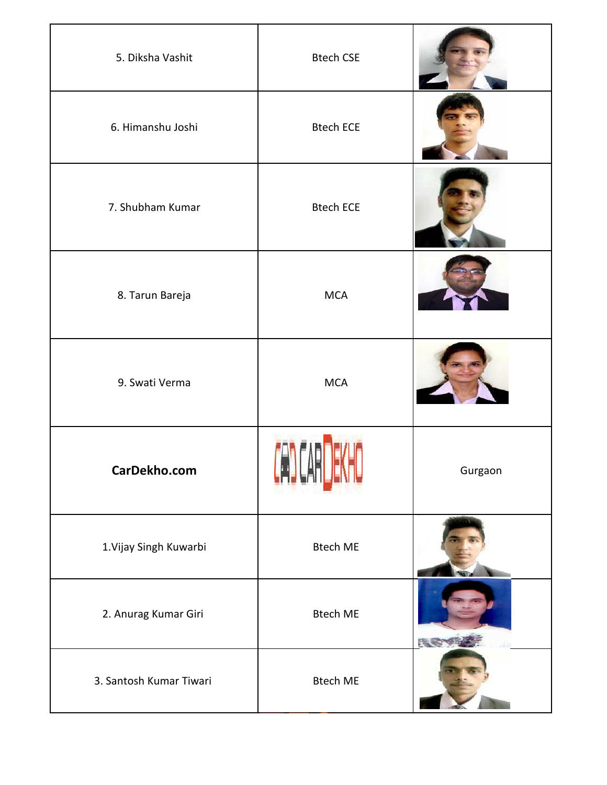| 5. Diksha Vashit        | <b>Btech CSE</b> |         |
|-------------------------|------------------|---------|
| 6. Himanshu Joshi       | <b>Btech ECE</b> |         |
| 7. Shubham Kumar        | <b>Btech ECE</b> |         |
| 8. Tarun Bareja         | <b>MCA</b>       |         |
| 9. Swati Verma          | <b>MCA</b>       |         |
| CarDekho.com            |                  | Gurgaon |
| 1. Vijay Singh Kuwarbi  | <b>Btech ME</b>  |         |
| 2. Anurag Kumar Giri    | <b>Btech ME</b>  | 沃       |
| 3. Santosh Kumar Tiwari | <b>Btech ME</b>  |         |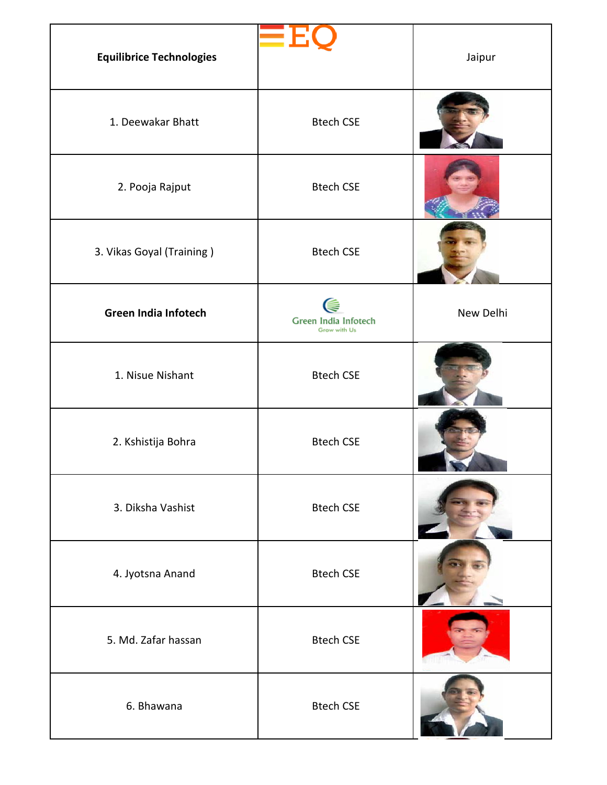| <b>Equilibrice Technologies</b> |                                           | Jaipur    |
|---------------------------------|-------------------------------------------|-----------|
| 1. Deewakar Bhatt               | <b>Btech CSE</b>                          |           |
| 2. Pooja Rajput                 | <b>Btech CSE</b>                          |           |
| 3. Vikas Goyal (Training)       | <b>Btech CSE</b>                          |           |
| <b>Green India Infotech</b>     | ⋐<br>Green India Infotech<br>Grow with Us | New Delhi |
| 1. Nisue Nishant                | <b>Btech CSE</b>                          |           |
| 2. Kshistija Bohra              | <b>Btech CSE</b>                          |           |
| 3. Diksha Vashist               | <b>Btech CSE</b>                          |           |
| 4. Jyotsna Anand                | <b>Btech CSE</b>                          |           |
| 5. Md. Zafar hassan             | <b>Btech CSE</b>                          |           |
| 6. Bhawana                      | <b>Btech CSE</b>                          |           |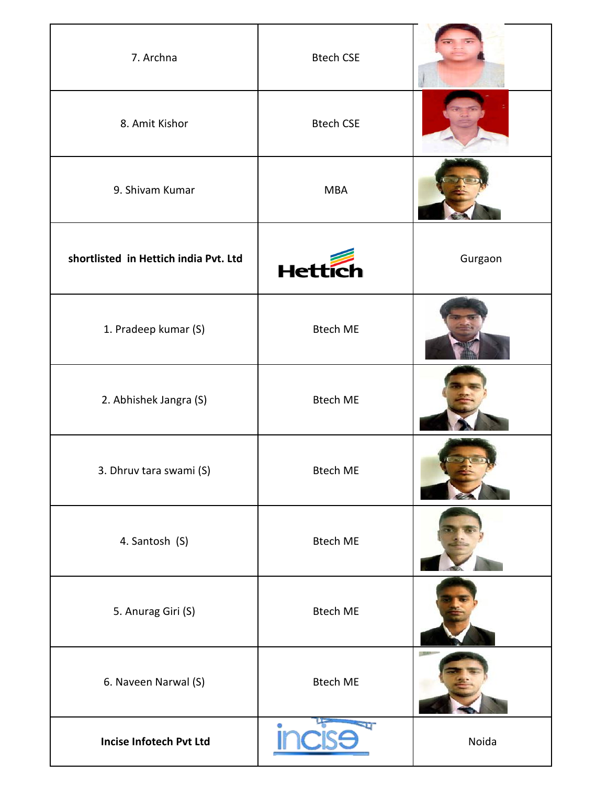| 7. Archna                             | <b>Btech CSE</b> |         |
|---------------------------------------|------------------|---------|
| 8. Amit Kishor                        | <b>Btech CSE</b> |         |
| 9. Shivam Kumar                       | <b>MBA</b>       |         |
| shortlisted in Hettich india Pvt. Ltd | <b>Hettic</b>    | Gurgaon |
| 1. Pradeep kumar (S)                  | <b>Btech ME</b>  |         |
| 2. Abhishek Jangra (S)                | <b>Btech ME</b>  |         |
| 3. Dhruv tara swami (S)               | <b>Btech ME</b>  |         |
| 4. Santosh (S)                        | <b>Btech ME</b>  |         |
| 5. Anurag Giri (S)                    | <b>Btech ME</b>  |         |
| 6. Naveen Narwal (S)                  | <b>Btech ME</b>  |         |
| <b>Incise Infotech Pvt Ltd</b>        | U<br>Ø.          | Noida   |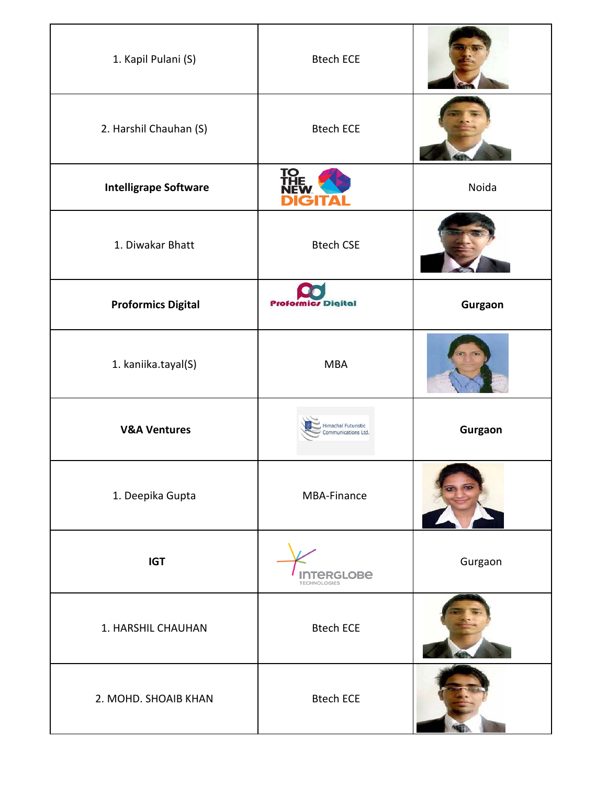| 1. Kapil Pulani (S)          | <b>Btech ECE</b>                                  |         |
|------------------------------|---------------------------------------------------|---------|
| 2. Harshil Chauhan (S)       | <b>Btech ECE</b>                                  |         |
| <b>Intelligrape Software</b> | <u>TQ</u>                                         | Noida   |
| 1. Diwakar Bhatt             | <b>Btech CSE</b>                                  |         |
| <b>Proformics Digital</b>    | <b>Proformics Digital</b>                         | Gurgaon |
| 1. kaniika.tayal(S)          | <b>MBA</b>                                        |         |
| <b>V&amp;A Ventures</b>      | <b>Himachal Futuristic</b><br>Communications Ltd. | Gurgaon |
| 1. Deepika Gupta             | MBA-Finance                                       |         |
| <b>IGT</b>                   | <b><i>ERGLOBE</i></b><br><b>TECHNOLOGIES</b>      | Gurgaon |
| 1. HARSHIL CHAUHAN           | <b>Btech ECE</b>                                  |         |
| 2. MOHD. SHOAIB KHAN         | <b>Btech ECE</b>                                  |         |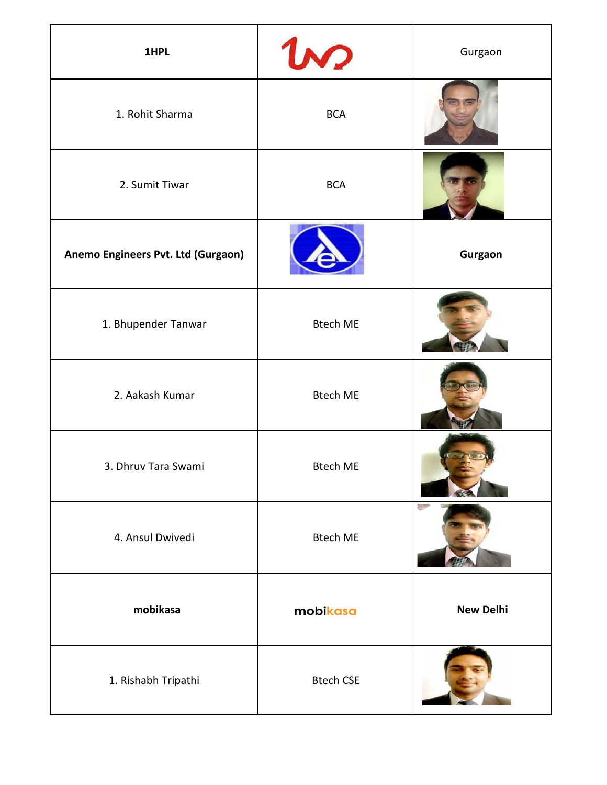| 1HPL                               | $\omega$         | Gurgaon          |
|------------------------------------|------------------|------------------|
| 1. Rohit Sharma                    | <b>BCA</b>       |                  |
| 2. Sumit Tiwar                     | <b>BCA</b>       |                  |
| Anemo Engineers Pvt. Ltd (Gurgaon) |                  | Gurgaon          |
| 1. Bhupender Tanwar                | <b>Btech ME</b>  |                  |
| 2. Aakash Kumar                    | <b>Btech ME</b>  |                  |
| 3. Dhruv Tara Swami                | <b>Btech ME</b>  |                  |
| 4. Ansul Dwivedi                   | <b>Btech ME</b>  |                  |
| mobikasa                           | mobikasa         | <b>New Delhi</b> |
| 1. Rishabh Tripathi                | <b>Btech CSE</b> |                  |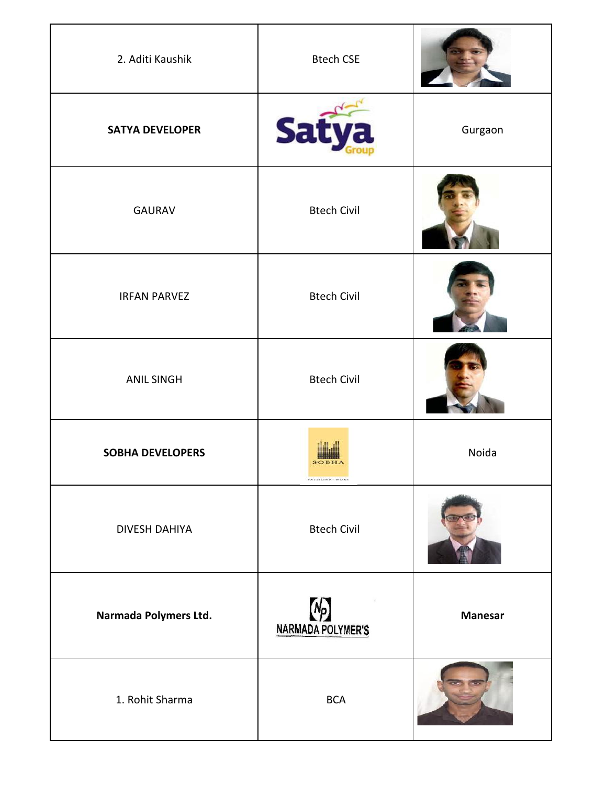| 2. Aditi Kaushik        | <b>Btech CSE</b>             |                |
|-------------------------|------------------------------|----------------|
| <b>SATYA DEVELOPER</b>  | Sat                          | Gurgaon        |
| <b>GAURAV</b>           | <b>Btech Civil</b>           |                |
| <b>IRFAN PARVEZ</b>     | <b>Btech Civil</b>           |                |
| <b>ANIL SINGH</b>       | <b>Btech Civil</b>           |                |
| <b>SOBHA DEVELOPERS</b> | FASSION AT WORK              | Noida          |
| <b>DIVESH DAHIYA</b>    | <b>Btech Civil</b>           |                |
| Narmada Polymers Ltd.   | $N_{P}$<br>NARMADA POLYMER'S | <b>Manesar</b> |
| 1. Rohit Sharma         | <b>BCA</b>                   |                |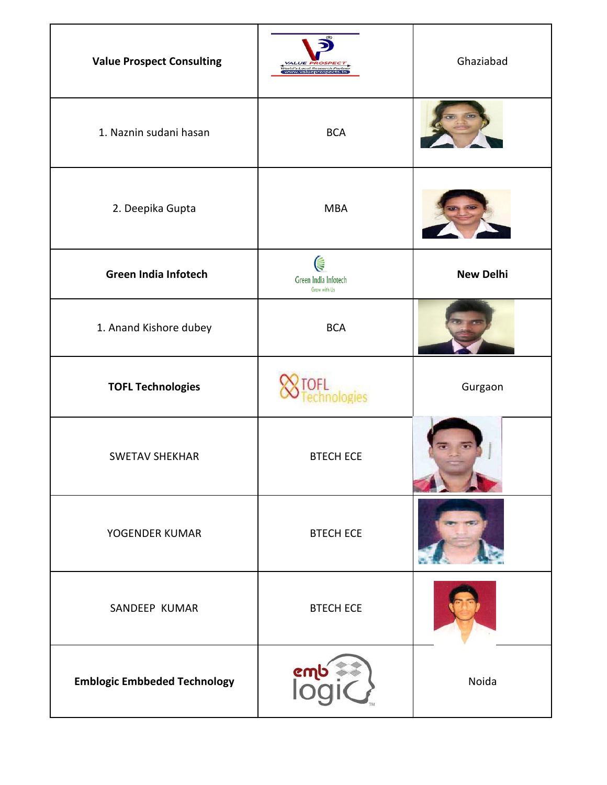| <b>Value Prospect Consulting</b>    | <b>VALUE PRO:</b><br>,<br>World's Local Research Partner<br>  WWW.Valueprospects.in | Ghaziabad        |
|-------------------------------------|-------------------------------------------------------------------------------------|------------------|
| 1. Naznin sudani hasan              | <b>BCA</b>                                                                          |                  |
| 2. Deepika Gupta                    | <b>MBA</b>                                                                          |                  |
| <b>Green India Infotech</b>         | ⋐<br>Green India Infotech<br>Grow with Us                                           | <b>New Delhi</b> |
| 1. Anand Kishore dubey              | <b>BCA</b>                                                                          |                  |
| <b>TOFL Technologies</b>            |                                                                                     | Gurgaon          |
| <b>SWETAV SHEKHAR</b>               | <b>BTECH ECE</b>                                                                    |                  |
| YOGENDER KUMAR                      | <b>BTECH ECE</b>                                                                    |                  |
| SANDEEP KUMAR                       | <b>BTECH ECE</b>                                                                    |                  |
| <b>Emblogic Embbeded Technology</b> | ണ്ടു<br>ഭധി                                                                         | Noida            |